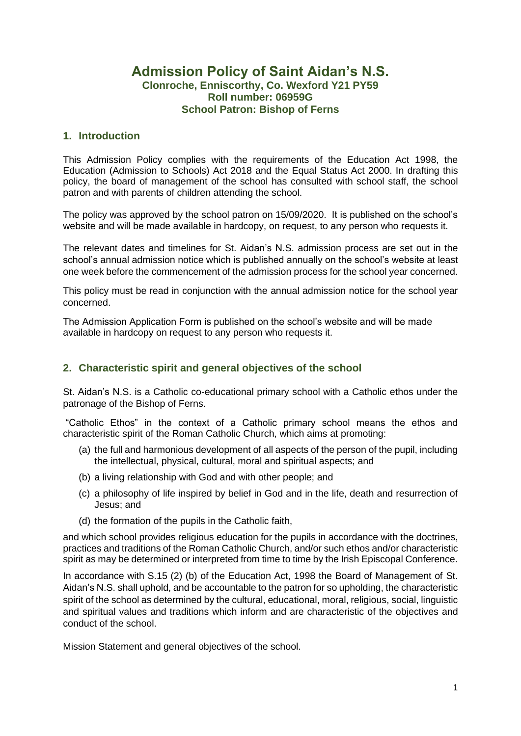# **Admission Policy of Saint Aidan's N.S. Clonroche, Enniscorthy, Co. Wexford Y21 PY59 Roll number: 06959G School Patron: Bishop of Ferns**

### **1. Introduction**

This Admission Policy complies with the requirements of the Education Act 1998, the Education (Admission to Schools) Act 2018 and the Equal Status Act 2000. In drafting this policy, the board of management of the school has consulted with school staff, the school patron and with parents of children attending the school.

The policy was approved by the school patron on 15/09/2020. It is published on the school's website and will be made available in hardcopy, on request, to any person who requests it.

The relevant dates and timelines for St. Aidan's N.S. admission process are set out in the school's annual admission notice which is published annually on the school's website at least one week before the commencement of the admission process for the school year concerned.

This policy must be read in conjunction with the annual admission notice for the school year concerned.

The Admission Application Form is published on the school's website and will be made available in hardcopy on request to any person who requests it.

# **2. Characteristic spirit and general objectives of the school**

St. Aidan's N.S. is a Catholic co-educational primary school with a Catholic ethos under the patronage of the Bishop of Ferns.

"Catholic Ethos" in the context of a Catholic primary school means the ethos and characteristic spirit of the Roman Catholic Church, which aims at promoting:

- (a) the full and harmonious development of all aspects of the person of the pupil, including the intellectual, physical, cultural, moral and spiritual aspects; and
- (b) a living relationship with God and with other people; and
- (c) a philosophy of life inspired by belief in God and in the life, death and resurrection of Jesus; and
- (d) the formation of the pupils in the Catholic faith,

and which school provides religious education for the pupils in accordance with the doctrines, practices and traditions of the Roman Catholic Church, and/or such ethos and/or characteristic spirit as may be determined or interpreted from time to time by the Irish Episcopal Conference.

In accordance with S.15 (2) (b) of the Education Act, 1998 the Board of Management of St. Aidan's N.S. shall uphold, and be accountable to the patron for so upholding, the characteristic spirit of the school as determined by the cultural, educational, moral, religious, social, linguistic and spiritual values and traditions which inform and are characteristic of the objectives and conduct of the school.

Mission Statement and general objectives of the school.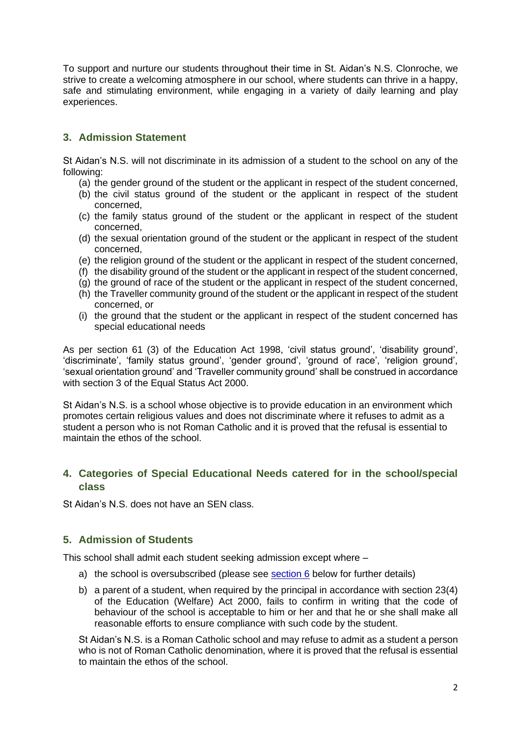To support and nurture our students throughout their time in St. Aidan's N.S. Clonroche, we strive to create a welcoming atmosphere in our school, where students can thrive in a happy, safe and stimulating environment, while engaging in a variety of daily learning and play experiences.

# **3. Admission Statement**

St Aidan's N.S. will not discriminate in its admission of a student to the school on any of the following:

- (a) the gender ground of the student or the applicant in respect of the student concerned,
- (b) the civil status ground of the student or the applicant in respect of the student concerned,
- (c) the family status ground of the student or the applicant in respect of the student concerned,
- (d) the sexual orientation ground of the student or the applicant in respect of the student concerned,
- (e) the religion ground of the student or the applicant in respect of the student concerned,
- (f) the disability ground of the student or the applicant in respect of the student concerned,
- (g) the ground of race of the student or the applicant in respect of the student concerned,
- (h) the Traveller community ground of the student or the applicant in respect of the student concerned, or
- (i) the ground that the student or the applicant in respect of the student concerned has special educational needs

As per section 61 (3) of the Education Act 1998, 'civil status ground', 'disability ground', 'discriminate', 'family status ground', 'gender ground', 'ground of race', 'religion ground', 'sexual orientation ground' and 'Traveller community ground' shall be construed in accordance with section 3 of the Equal Status Act 2000.

St Aidan's N.S. is a school whose objective is to provide education in an environment which promotes certain religious values and does not discriminate where it refuses to admit as a student a person who is not Roman Catholic and it is proved that the refusal is essential to maintain the ethos of the school.

# **4. Categories of Special Educational Needs catered for in the school/special class**

St Aidan's N.S. does not have an SEN class.

### **5. Admission of Students**

This school shall admit each student seeking admission except where –

- a) the school is oversubscribed (please see [section 6](#page-2-0) below for further details)
- b) a parent of a student, when required by the principal in accordance with section 23(4) of the Education (Welfare) Act 2000, fails to confirm in writing that the code of behaviour of the school is acceptable to him or her and that he or she shall make all reasonable efforts to ensure compliance with such code by the student.

St Aidan's N.S. is a Roman Catholic school and may refuse to admit as a student a person who is not of Roman Catholic denomination, where it is proved that the refusal is essential to maintain the ethos of the school.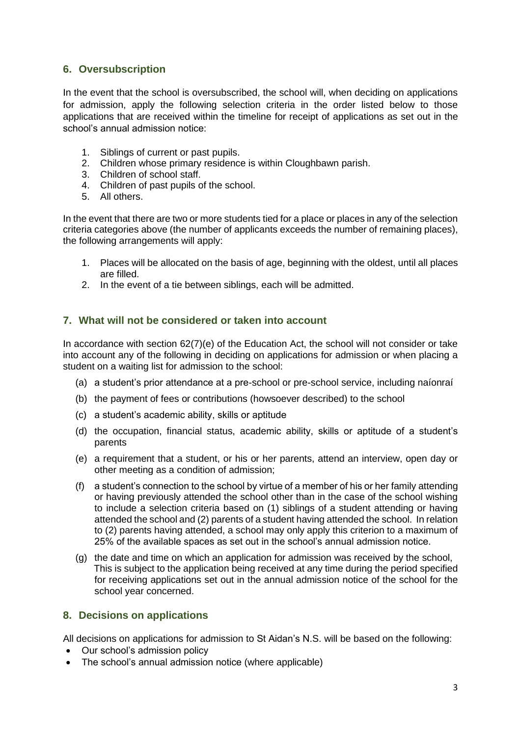# <span id="page-2-0"></span>**6. Oversubscription**

In the event that the school is oversubscribed, the school will, when deciding on applications for admission, apply the following selection criteria in the order listed below to those applications that are received within the timeline for receipt of applications as set out in the school's annual admission notice:

- 1. Siblings of current or past pupils.
- 2. Children whose primary residence is within Cloughbawn parish.
- 3. Children of school staff.
- 4. Children of past pupils of the school.
- 5. All others.

In the event that there are two or more students tied for a place or places in any of the selection criteria categories above (the number of applicants exceeds the number of remaining places), the following arrangements will apply:

- 1. Places will be allocated on the basis of age, beginning with the oldest, until all places are filled.
- 2. In the event of a tie between siblings, each will be admitted.

#### **7. What will not be considered or taken into account**

In accordance with section 62(7)(e) of the Education Act, the school will not consider or take into account any of the following in deciding on applications for admission or when placing a student on a waiting list for admission to the school:

- (a) a student's prior attendance at a pre-school or pre-school service, including naíonraí
- (b) the payment of fees or contributions (howsoever described) to the school
- (c) a student's academic ability, skills or aptitude
- (d) the occupation, financial status, academic ability, skills or aptitude of a student's parents
- (e) a requirement that a student, or his or her parents, attend an interview, open day or other meeting as a condition of admission;
- (f) a student's connection to the school by virtue of a member of his or her family attending or having previously attended the school other than in the case of the school wishing to include a selection criteria based on (1) siblings of a student attending or having attended the school and (2) parents of a student having attended the school. In relation to (2) parents having attended, a school may only apply this criterion to a maximum of 25% of the available spaces as set out in the school's annual admission notice.
- (g) the date and time on which an application for admission was received by the school, This is subject to the application being received at any time during the period specified for receiving applications set out in the annual admission notice of the school for the school year concerned.

#### **8. Decisions on applications**

All decisions on applications for admission to St Aidan's N.S. will be based on the following:

- Our school's admission policy
- The school's annual admission notice (where applicable)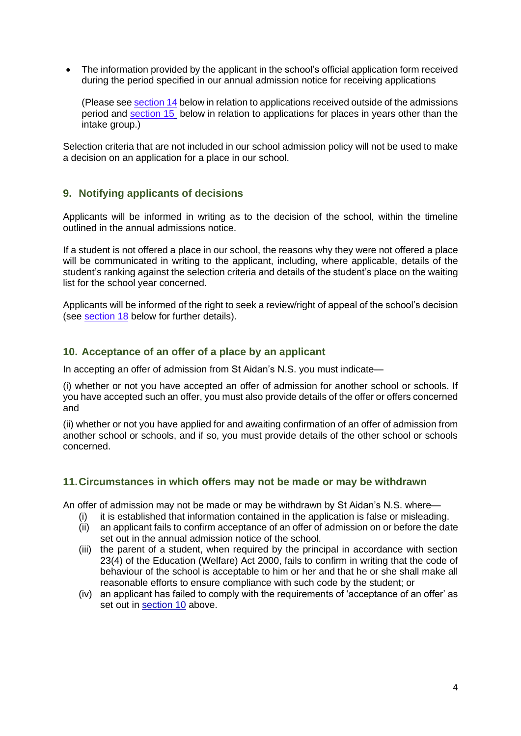• The information provided by the applicant in the school's official application form received during the period specified in our annual admission notice for receiving applications

(Please see section 14 below in relation to applications received outside of the admissions period and [section 15](#page-5-0) below in relation to applications for places in years other than the intake group.)

Selection criteria that are not included in our school admission policy will not be used to make a decision on an application for a place in our school.

#### **9. Notifying applicants of decisions**

Applicants will be informed in writing as to the decision of the school, within the timeline outlined in the annual admissions notice.

If a student is not offered a place in our school, the reasons why they were not offered a place will be communicated in writing to the applicant, including, where applicable, details of the student's ranking against the selection criteria and details of the student's place on the waiting list for the school year concerned.

Applicants will be informed of the right to seek a review/right of appeal of the school's decision (see [section 18](#page-5-1) below for further details).

#### <span id="page-3-0"></span>**10. Acceptance of an offer of a place by an applicant**

In accepting an offer of admission from St Aidan's N.S. you must indicate—

(i) whether or not you have accepted an offer of admission for another school or schools. If you have accepted such an offer, you must also provide details of the offer or offers concerned and

(ii) whether or not you have applied for and awaiting confirmation of an offer of admission from another school or schools, and if so, you must provide details of the other school or schools concerned.

### **11.Circumstances in which offers may not be made or may be withdrawn**

An offer of admission may not be made or may be withdrawn by St Aidan's N.S. where—

- (i) it is established that information contained in the application is false or misleading.
- (ii) an applicant fails to confirm acceptance of an offer of admission on or before the date set out in the annual admission notice of the school.
- (iii) the parent of a student, when required by the principal in accordance with section 23(4) of the Education (Welfare) Act 2000, fails to confirm in writing that the code of behaviour of the school is acceptable to him or her and that he or she shall make all reasonable efforts to ensure compliance with such code by the student; or
- (iv) an applicant has failed to comply with the requirements of 'acceptance of an offer' as set out in [section 10](#page-3-0) above.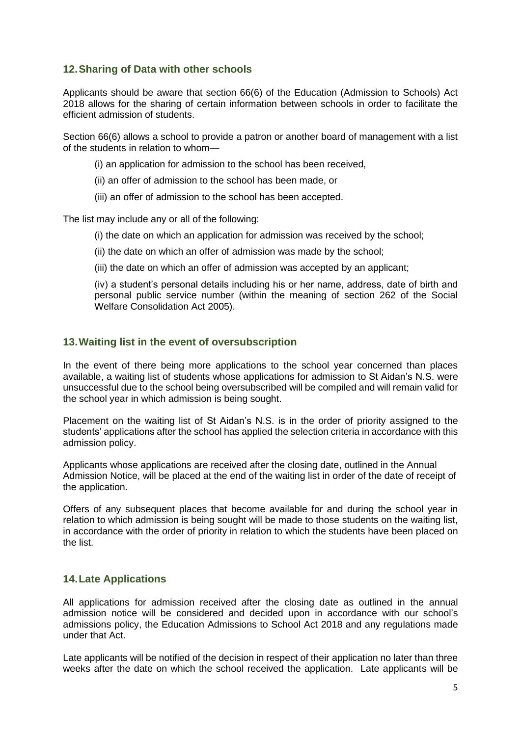# **12.Sharing of Data with other schools**

Applicants should be aware that section 66(6) of the Education (Admission to Schools) Act 2018 allows for the sharing of certain information between schools in order to facilitate the efficient admission of students.

Section 66(6) allows a school to provide a patron or another board of management with a list of the students in relation to whom—

- (i) an application for admission to the school has been received,
- (ii) an offer of admission to the school has been made, or
- (iii) an offer of admission to the school has been accepted.

The list may include any or all of the following:

- (i) the date on which an application for admission was received by the school;
- (ii) the date on which an offer of admission was made by the school;
- (iii) the date on which an offer of admission was accepted by an applicant;

(iv) a student's personal details including his or her name, address, date of birth and personal public service number (within the meaning of section 262 of the Social Welfare Consolidation Act 2005).

#### **13.Waiting list in the event of oversubscription**

In the event of there being more applications to the school year concerned than places available, a waiting list of students whose applications for admission to St Aidan's N.S. were unsuccessful due to the school being oversubscribed will be compiled and will remain valid for the school year in which admission is being sought.

Placement on the waiting list of St Aidan's N.S. is in the order of priority assigned to the students' applications after the school has applied the selection criteria in accordance with this admission policy.

Applicants whose applications are received after the closing date, outlined in the Annual Admission Notice, will be placed at the end of the waiting list in order of the date of receipt of the application.

Offers of any subsequent places that become available for and during the school year in relation to which admission is being sought will be made to those students on the waiting list, in accordance with the order of priority in relation to which the students have been placed on the list.

### **14.Late Applications**

All applications for admission received after the closing date as outlined in the annual admission notice will be considered and decided upon in accordance with our school's admissions policy, the Education Admissions to School Act 2018 and any regulations made under that Act.

Late applicants will be notified of the decision in respect of their application no later than three weeks after the date on which the school received the application. Late applicants will be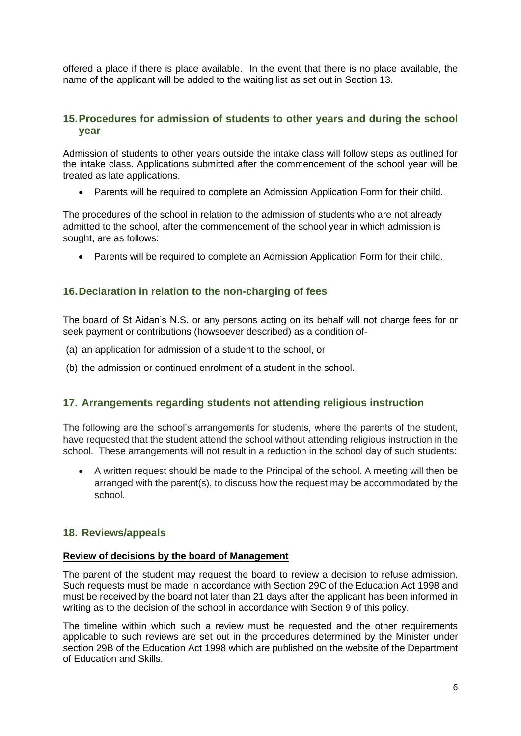offered a place if there is place available. In the event that there is no place available, the name of the applicant will be added to the waiting list as set out in Section 13.

#### **15.Procedures for admission of students to other years and during the school year**

Admission of students to other years outside the intake class will follow steps as outlined for the intake class. Applications submitted after the commencement of the school year will be treated as late applications.

• Parents will be required to complete an Admission Application Form for their child.

The procedures of the school in relation to the admission of students who are not already admitted to the school, after the commencement of the school year in which admission is sought, are as follows:

• Parents will be required to complete an Admission Application Form for their child.

# <span id="page-5-0"></span>**16.Declaration in relation to the non-charging of fees**

The board of St Aidan's N.S. or any persons acting on its behalf will not charge fees for or seek payment or contributions (howsoever described) as a condition of-

- (a) an application for admission of a student to the school, or
- (b) the admission or continued enrolment of a student in the school.

### <span id="page-5-1"></span>**17. Arrangements regarding students not attending religious instruction**

The following are the school's arrangements for students, where the parents of the student, have requested that the student attend the school without attending religious instruction in the school. These arrangements will not result in a reduction in the school day of such students:

• A written request should be made to the Principal of the school. A meeting will then be arranged with the parent(s), to discuss how the request may be accommodated by the school.

### **18. Reviews/appeals**

#### **Review of decisions by the board of Management**

The parent of the student may request the board to review a decision to refuse admission. Such requests must be made in accordance with Section 29C of the Education Act 1998 and must be received by the board not later than 21 days after the applicant has been informed in writing as to the decision of the school in accordance with Section 9 of this policy.

The timeline within which such a review must be requested and the other requirements applicable to such reviews are set out in the procedures determined by the Minister under section 29B of the Education Act 1998 which are published on the website of the Department of Education and Skills.